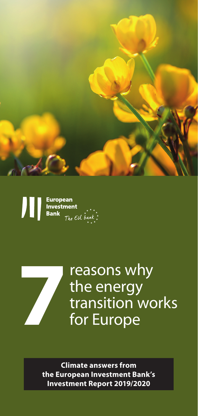

European<br>Investment Л **Bank** The EU bank



reasons why the energy transition works **7**for Europe

**Climate answers from the European Investment Bank's Investment Report 2019/2020**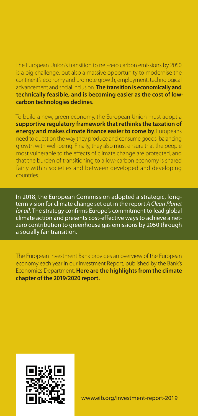The European Union's transition to net-zero carbon emissions by 2050 is a big challenge, but also a massive opportunity to modernise the continent's economy and promote growth, employment, technological advancement and social inclusion. **The transition is economically and technically feasible, and is becoming easier as the cost of lowcarbon technologies decline**s.

To build a new, green economy, the European Union must adopt a **supportive regulatory framework that rethinks the taxation of energy and makes climate finance easier to come by**. Europeans need to question the way they produce and consume goods, balancing growth with well-being. Finally, they also must ensure that the people most vulnerable to the effects of climate change are protected, and that the burden of transitioning to a low-carbon economy is shared fairly within societies and between developed and developing countries.

In 2018, the European Commission adopted a strategic, longterm vision for climate change set out in the report *A Clean Planet for all*. The strategy confirms Europe's commitment to lead global climate action and presents cost-effective ways to achieve a netzero contribution to greenhouse gas emissions by 2050 through a socially fair transition.

The European Investment Bank provides an overview of the European economy each year in our Investment Report, published by the Bank's Economics Department. **Here are the highlights from the climate chapter of the 2019/2020 report.**

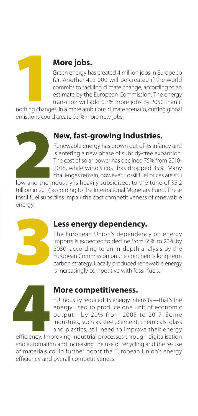

# **More jobs.**

Green energy has created 4 million jobs in Europe so far. Another 492 000 will be created if the world commits to tackling climate change, according to an estimate by the European Commission. The energy transition will add 0.3% more jobs by 2050 than if

nothing changes. In a more ambitious climate scenario, cutting global emissions could create 0.9% more new jobs.



## **New, fast-growing industries.**

Renewable energy has grown out of its infancy and is entering a new phase of subsidy-free expansion. The cost of solar power has declined 75% from 2010- 2018, while wind's cost has dropped 35%. Many challenges remain, however. Fossil fuel prices are still

low and the industry is heavily subsidised, to the tune of \$5.2 trillion in 2017, according to the International Monetary Fund. These fossil fuel subsidies impair the cost competitiveness of renewable energy.



## **Less energy dependency.**

The European Union's dependency on energy imports is expected to decline from 55% to 20% by 2050, according to an in-depth analysis by the European Commission on the continent's long-term carbon strategy. Locally produced renewable energy is increasingly competitive with fossil fuels.



#### **More competitiveness.**

EU industry reduced its energy intensity—that's the energy used to produce one unit of economic output—by 20% from 2005 to 2017. Some industries, such as steel, cement, chemicals, glass and plastics, still need to improve their energy

efficiency. Improving industrial processes through digitalisation and automation and increasing the use of recycling and the re-use of materials could further boost the European Union's energy efficiency and overall competitiveness.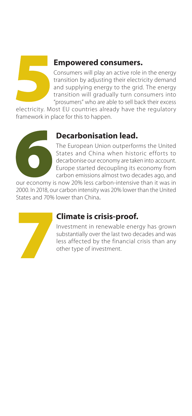

### **Empowered consumers.**

Consumers will play an active role in the energy transition by adjusting their electricity demand and supplying energy to the grid. The energy transition will gradually turn consumers into "prosumers" who are able to sell back their excess

electricity. Most EU countries already have the regulatory framework in place for this to happen.



## **Decarbonisation lead.**

The European Union outperforms the United States and China when historic efforts to decarbonise our economy are taken into account. Europe started decoupling its economy from carbon emissions almost two decades ago, and

our economy is now 20% less carbon-intensive than it was in 2000. In 2018, our carbon intensity was 20% lower than the United States and 70% lower than China.



## **Climate is crisis-proof.**

Investment in renewable energy has grown substantially over the last two decades and was less affected by the financial crisis than any other type of investment.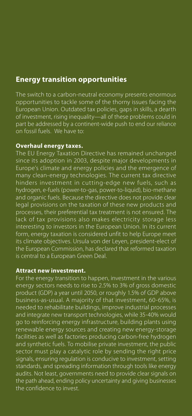#### **Energy transition opportunities**

The switch to a carbon-neutral economy presents enormous opportunities to tackle some of the thorny issues facing the European Union. Outdated tax policies, gaps in skills, a dearth of investment, rising inequality—all of these problems could in part be addressed by a continent-wide push to end our reliance on fossil fuels. We have to:

#### **Overhaul energy taxes.**

The EU Energy Taxation Directive has remained unchanged since its adoption in 2003, despite major developments in Europe's climate and energy policies and the emergence of many clean-energy technologies. The current tax directive hinders investment in cutting-edge new fuels, such as hydrogen, e-fuels (power-to-gas, power-to-liquid), bio-methane and organic fuels. Because the directive does not provide clear legal provisions on the taxation of these new products and processes, their preferential tax treatment is not ensured. The lack of tax provisions also makes electricity storage less interesting to investors in the European Union. In its current form, energy taxation is considered unfit to help Europe meet its climate objectives. Ursula von der Leyen, president-elect of the European Commission, has declared that reformed taxation is central to a European Green Deal.

#### **Attract new investment.**

For the energy transition to happen, investment in the various energy sectors needs to rise to 2.5% to 3% of gross domestic product (GDP) a year until 2050, or roughly 1.5% of GDP above business-as-usual. A majority of that investment, 60-65%, is needed to rehabilitate buildings, improve industrial processes and integrate new transport technologies, while 35-40% would go to reinforcing energy infrastructure, building plants using renewable energy sources and creating new energy-storage facilities as well as factories producing carbon-free hydrogen and synthetic fuels. To mobilise private investment, the public sector must play a catalytic role by sending the right price signals, ensuring regulation is conducive to investment, setting standards, and spreading information through tools like energy audits. Not least, governments need to provide clear signals on the path ahead, ending policy uncertainty and giving businesses the confidence to invest.